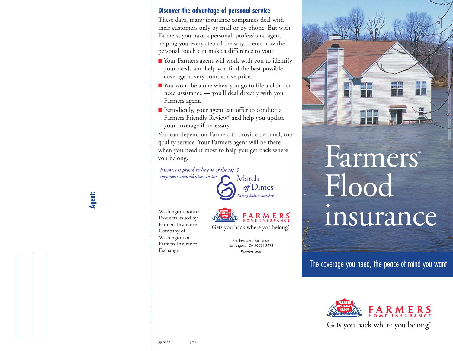#### **Discover the advantage of personal service**

These days, many insurance companies deal with their customers only by mail or by phone. But with Farmers, you have a personal, professional agent helping you every step of the way. Here's how the personal touch can make a difference to you:

- Your Farmers agent will work with you to identify your needs and help you find the best possible coverage at very competitive price.
- **■** You won't be alone when you go to file a claim or need assistance — you'll deal directly with your Farmers agent.
- **■** Periodically, your agent can offer to conduct a Farmers Friendly Review® and help you update your coverage if necessary.

You can depend on Farmers to provide personal, top quality service. Your Farmers agent will be there when you need it most to help you get back where you belong.

*Farmers is proud to be one of the top 5* corporate contributors to the



Washington notice: Products issued by Farmers Insurance Company of Washington or Farmers Insurance Exchange



Gets you back where you belong."

Fire Insurance Exchange Los Angeles, CA 90051-2478 Farmers.com



## Farmers® Flood insurance

The coverage you need, the peace of mind you want



**Agent:**